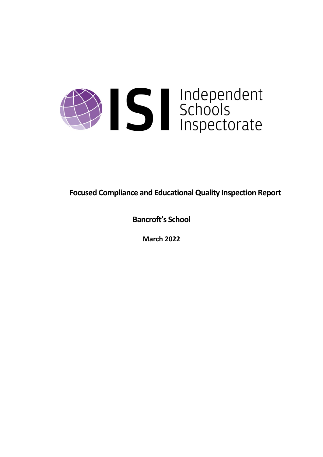

**Focused Compliance and EducationalQuality Inspection Report**

**Bancroft's School**

**March 2022**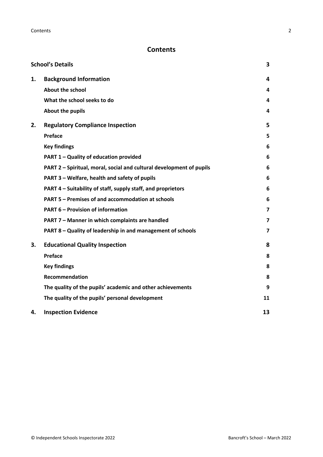## **Contents**

|    | <b>School's Details</b>                                              | 3                       |
|----|----------------------------------------------------------------------|-------------------------|
| 1. | <b>Background Information</b>                                        | 4                       |
|    | <b>About the school</b>                                              | 4                       |
|    | What the school seeks to do                                          | 4                       |
|    | About the pupils                                                     | 4                       |
| 2. | <b>Regulatory Compliance Inspection</b>                              | 5                       |
|    | Preface                                                              | 5                       |
|    | <b>Key findings</b>                                                  | 6                       |
|    | PART 1 - Quality of education provided                               | 6                       |
|    | PART 2 - Spiritual, moral, social and cultural development of pupils | 6                       |
|    | PART 3 - Welfare, health and safety of pupils                        | 6                       |
|    | PART 4 – Suitability of staff, supply staff, and proprietors         | 6                       |
|    | PART 5 - Premises of and accommodation at schools                    | 6                       |
|    | <b>PART 6 - Provision of information</b>                             | $\overline{\mathbf{z}}$ |
|    | PART 7 - Manner in which complaints are handled                      | $\overline{7}$          |
|    | PART 8 - Quality of leadership in and management of schools          | $\overline{\mathbf{z}}$ |
| 3. | <b>Educational Quality Inspection</b>                                | 8                       |
|    | Preface                                                              | 8                       |
|    | <b>Key findings</b>                                                  | 8                       |
|    | <b>Recommendation</b>                                                | 8                       |
|    | The quality of the pupils' academic and other achievements           | 9                       |
|    | The quality of the pupils' personal development                      | 11                      |
| 4. | <b>Inspection Evidence</b>                                           | 13                      |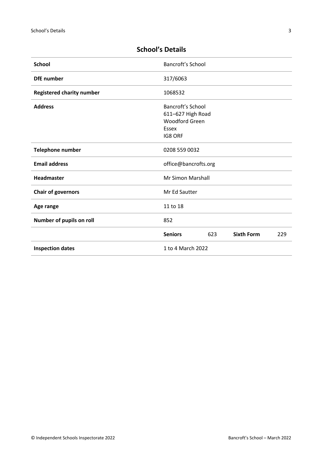| <b>School</b>                    | <b>Bancroft's School</b>                                                                   |     |                   |     |
|----------------------------------|--------------------------------------------------------------------------------------------|-----|-------------------|-----|
| <b>DfE</b> number                | 317/6063                                                                                   |     |                   |     |
| <b>Registered charity number</b> | 1068532                                                                                    |     |                   |     |
| <b>Address</b>                   | <b>Bancroft's School</b><br>611-627 High Road<br><b>Woodford Green</b><br>Essex<br>IG8 ORF |     |                   |     |
| Telephone number                 | 0208 559 0032                                                                              |     |                   |     |
| <b>Email address</b>             | office@bancrofts.org                                                                       |     |                   |     |
| <b>Headmaster</b>                | <b>Mr Simon Marshall</b>                                                                   |     |                   |     |
| <b>Chair of governors</b>        | Mr Ed Sautter                                                                              |     |                   |     |
| Age range                        | 11 to 18                                                                                   |     |                   |     |
| Number of pupils on roll         | 852                                                                                        |     |                   |     |
|                                  | <b>Seniors</b>                                                                             | 623 | <b>Sixth Form</b> | 229 |
| <b>Inspection dates</b>          | 1 to 4 March 2022                                                                          |     |                   |     |

# <span id="page-2-0"></span>**School's Details**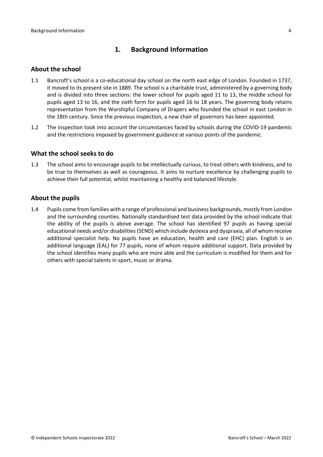### <span id="page-3-0"></span>**1. Background Information**

#### <span id="page-3-1"></span>**About the school**

- 1.1 Bancroft's school is a co-educational day school on the north east edge of London. Founded in 1737, it moved to its present site in 1889. The school is a charitable trust, administered by a governing body and is divided into three sections: the lower school for pupils aged 11 to 13, the middle school for pupils aged 13 to 16, and the sixth form for pupils aged 16 to 18 years. The governing body retains representation from the Worshipful Company of Drapers who founded the school in east London in the 18th century. Since the previous inspection, a new chair of governors has been appointed.
- 1.2 The inspection took into account the circumstances faced by schools during the COVID-19 pandemic and the restrictions imposed by government guidance at various points of the pandemic.

#### <span id="page-3-2"></span>**What the school seeks to do**

1.3 The school aims to encourage pupils to be intellectually curious, to treat others with kindness, and to be true to themselves as well as courageous. It aims to nurture excellence by challenging pupils to achieve their full potential, whilst maintaining a healthy and balanced lifestyle.

#### <span id="page-3-3"></span>**About the pupils**

1.4 Pupils come from families with a range of professional and business backgrounds, mostly from London and the surrounding counties. Nationally standardised test data provided by the school indicate that the ability of the pupils is above average. The school has identified 97 pupils as having special educational needs and/or disabilities(SEND) which include dyslexia and dyspraxia, all of whom receive additional specialist help. No pupils have an education, health and care (EHC) plan. English is an additional language (EAL) for 77 pupils, none of whom require additional support. Data provided by the school identifies many pupils who are more able and the curriculum is modified for them and for others with special talents in sport, music or drama.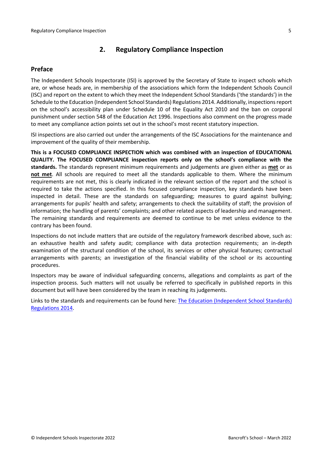### <span id="page-4-0"></span>**2. Regulatory Compliance Inspection**

### <span id="page-4-1"></span>**Preface**

The Independent Schools Inspectorate (ISI) is approved by the Secretary of State to inspect schools which are, or whose heads are, in membership of the associations which form the Independent Schools Council (ISC) and report on the extent to which they meet the Independent School Standards ('the standards') in the Schedule to the Education (Independent School Standards) Regulations 2014. Additionally, inspectionsreport on the school's accessibility plan under Schedule 10 of the Equality Act 2010 and the ban on corporal punishment under section 548 of the Education Act 1996. Inspections also comment on the progress made to meet any compliance action points set out in the school's most recent statutory inspection.

ISI inspections are also carried out under the arrangements of the ISC Associations for the maintenance and improvement of the quality of their membership.

**This is a FOCUSED COMPLIANCE INSPECTION which was combined with an inspection of EDUCATIONAL QUALITY. The FOCUSED COMPLIANCE inspection reports only on the school's compliance with the standards.** The standards represent minimum requirements and judgements are given either as **met** or as **not met**. All schools are required to meet all the standards applicable to them. Where the minimum requirements are not met, this is clearly indicated in the relevant section of the report and the school is required to take the actions specified. In this focused compliance inspection, key standards have been inspected in detail. These are the standards on safeguarding; measures to guard against bullying; arrangements for pupils' health and safety; arrangements to check the suitability of staff; the provision of information; the handling of parents' complaints; and other related aspects of leadership and management. The remaining standards and requirements are deemed to continue to be met unless evidence to the contrary has been found.

Inspections do not include matters that are outside of the regulatory framework described above, such as: an exhaustive health and safety audit; compliance with data protection requirements; an in-depth examination of the structural condition of the school, its services or other physical features; contractual arrangements with parents; an investigation of the financial viability of the school or its accounting procedures.

Inspectors may be aware of individual safeguarding concerns, allegations and complaints as part of the inspection process. Such matters will not usually be referred to specifically in published reports in this document but will have been considered by the team in reaching its judgements.

Links to the standards and requirements can be found here: The Education [\(Independent](http://www.legislation.gov.uk/uksi/2014/3283/contents/made) School Standards) [Regulations](http://www.legislation.gov.uk/uksi/2014/3283/contents/made) 2014.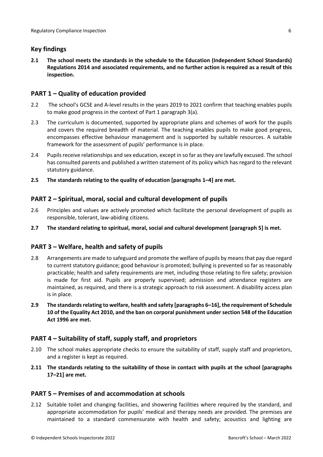### <span id="page-5-0"></span>**Key findings**

**2.1 The school meets the standards in the schedule to the Education (Independent School Standards) Regulations 2014 and associated requirements, and no further action is required as a result of this inspection.**

### <span id="page-5-1"></span>**PART 1 – Quality of education provided**

- 2.2 The school's GCSE and A-level results in the years 2019 to 2021 confirm that teaching enables pupils to make good progress in the context of Part 1 paragraph 3(a).
- 2.3 The curriculum is documented, supported by appropriate plans and schemes of work for the pupils and covers the required breadth of material. The teaching enables pupils to make good progress, encompasses effective behaviour management and is supported by suitable resources. A suitable framework for the assessment of pupils' performance is in place.
- 2.4 Pupils receive relationships and sex education, except in so far as they are lawfully excused. The school has consulted parents and published a written statement of its policy which has regard to the relevant statutory guidance.
- **2.5 The standards relating to the quality of education [paragraphs 1–4] are met.**

### <span id="page-5-2"></span>**PART 2 – Spiritual, moral, social and cultural development of pupils**

- 2.6 Principles and values are actively promoted which facilitate the personal development of pupils as responsible, tolerant, law-abiding citizens.
- **2.7 The standard relating to spiritual, moral, social and cultural development [paragraph 5] is met.**

### <span id="page-5-3"></span>**PART 3 – Welfare, health and safety of pupils**

- 2.8 Arrangements are made to safeguard and promote the welfare of pupils by means that pay due regard to current statutory guidance; good behaviour is promoted; bullying is prevented so far as reasonably practicable; health and safety requirements are met, including those relating to fire safety; provision is made for first aid. Pupils are properly supervised; admission and attendance registers are maintained, as required, and there is a strategic approach to risk assessment. A disability access plan is in place.
- **2.9 The standardsrelating to welfare, health and safety [paragraphs 6–16], the requirement of Schedule 10 of the Equality Act 2010, and the ban on corporal punishment undersection 548 of the Education Act 1996 are met.**

### <span id="page-5-4"></span>**PART 4 – Suitability of staff, supply staff, and proprietors**

- 2.10 The school makes appropriate checks to ensure the suitability of staff, supply staff and proprietors, and a register is kept as required.
- **2.11 The standards relating to the suitability of those in contact with pupils at the school [paragraphs 17–21] are met.**

### <span id="page-5-5"></span>**PART 5 – Premises of and accommodation at schools**

2.12 Suitable toilet and changing facilities, and showering facilities where required by the standard, and appropriate accommodation for pupils' medical and therapy needs are provided. The premises are maintained to a standard commensurate with health and safety; acoustics and lighting are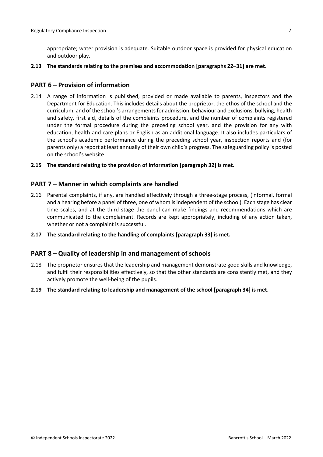appropriate; water provision is adequate. Suitable outdoor space is provided for physical education and outdoor play.

**2.13 The standards relating to the premises and accommodation [paragraphs 22–31] are met.**

#### <span id="page-6-0"></span>**PART 6 – Provision of information**

- 2.14 A range of information is published, provided or made available to parents, inspectors and the Department for Education. This includes details about the proprietor, the ethos of the school and the curriculum, and of the school's arrangementsfor admission, behaviour and exclusions, bullying, health and safety, first aid, details of the complaints procedure, and the number of complaints registered under the formal procedure during the preceding school year, and the provision for any with education, health and care plans or English as an additional language. It also includes particulars of the school's academic performance during the preceding school year, inspection reports and (for parents only) a report at least annually of their own child's progress. The safeguarding policy is posted on the school's website.
- **2.15 The standard relating to the provision of information [paragraph 32] is met.**

#### <span id="page-6-1"></span>**PART 7 – Manner in which complaints are handled**

- 2.16 Parental complaints, if any, are handled effectively through a three-stage process, (informal, formal and a hearing before a panel of three, one of whom isindependent of the school). Each stage has clear time scales, and at the third stage the panel can make findings and recommendations which are communicated to the complainant. Records are kept appropriately, including of any action taken, whether or not a complaint is successful.
- **2.17 The standard relating to the handling of complaints [paragraph 33] is met.**

#### <span id="page-6-2"></span>**PART 8 – Quality of leadership in and management of schools**

- 2.18 The proprietor ensures that the leadership and management demonstrate good skills and knowledge, and fulfil their responsibilities effectively, so that the other standards are consistently met, and they actively promote the well-being of the pupils.
- **2.19 The standard relating to leadership and management of the school [paragraph 34] is met.**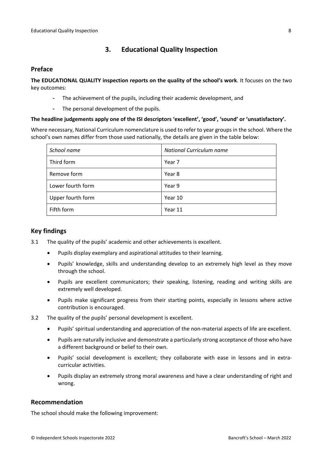## <span id="page-7-0"></span>**3. Educational Quality Inspection**

#### <span id="page-7-1"></span>**Preface**

**The EDUCATIONAL QUALITY inspection reports on the quality of the school's work**. It focuses on the two key outcomes:

- The achievement of the pupils, including their academic development, and
- The personal development of the pupils.

#### **The headline judgements apply one of the ISI descriptors 'excellent', 'good', 'sound' or 'unsatisfactory'.**

Where necessary, National Curriculum nomenclature is used to refer to year groups in the school. Where the school's own names differ from those used nationally, the details are given in the table below:

| School name       | National Curriculum name |  |  |
|-------------------|--------------------------|--|--|
| Third form        | Year 7                   |  |  |
| Remove form       | Year 8                   |  |  |
| Lower fourth form | Year 9                   |  |  |
| Upper fourth form | Year 10                  |  |  |
| Fifth form        | Year 11                  |  |  |

### <span id="page-7-2"></span>**Key findings**

- 3.1 The quality of the pupils' academic and other achievements is excellent.
	- Pupils display exemplary and aspirational attitudes to their learning.
	- Pupils' knowledge, skills and understanding develop to an extremely high level as they move through the school.
	- Pupils are excellent communicators; their speaking, listening, reading and writing skills are extremely well developed.
	- Pupils make significant progress from their starting points, especially in lessons where active contribution is encouraged.
- 3.2 The quality of the pupils' personal development is excellent.
	- Pupils' spiritual understanding and appreciation of the non-material aspects of life are excellent.
	- Pupils are naturally inclusive and demonstrate a particularly strong acceptance of those who have a different background or belief to their own.
	- Pupils' social development is excellent; they collaborate with ease in lessons and in extracurricular activities.
	- Pupils display an extremely strong moral awareness and have a clear understanding of right and wrong.

### <span id="page-7-3"></span>**Recommendation**

The school should make the following improvement: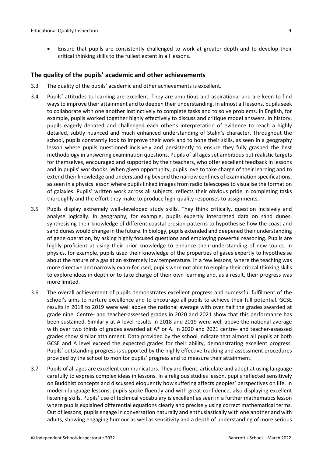Ensure that pupils are consistently challenged to work at greater depth and to develop their critical thinking skills to the fullest extent in all lessons.

#### <span id="page-8-0"></span>**The quality of the pupils' academic and other achievements**

- 3.3 The quality of the pupils' academic and other achievements is excellent.
- 3.4 Pupils' attitudes to learning are excellent. They are ambitious and aspirational and are keen to find ways to improve their attainment and to deepen their understanding. In almost all lessons, pupils seek to collaborate with one another instinctively to complete tasks and to solve problems. In English, for example, pupils worked together highly effectively to discuss and critique model answers. In history, pupils eagerly debated and challenged each other's interpretation of evidence to reach a highly detailed, subtly nuanced and much enhanced understanding of Stalin's character. Throughout the school, pupils constantly look to improve their work and to hone their skills, as seen in a geography lesson where pupils questioned incisively and persistently to ensure they fully grasped the best methodology in answering examination questions. Pupils of all ages set ambitious but realistic targets for themselves, encouraged and supported by their teachers, who offer excellent feedback in lessons and in pupils' workbooks. When given opportunity, pupils love to take charge of their learning and to extend their knowledge and understanding beyond the narrow confines of examination specifications, as seen in a physics lesson where pupils linked images from radio telescopes to visualise the formation of galaxies. Pupils' written work across all subjects, reflects their obvious pride in completing tasks thoroughly and the effort they make to produce high-quality responses to assignments.
- 3.5 Pupils display extremely well-developed study skills. They think critically, question incisively and analyse logically. In geography, for example, pupils expertly interpreted data on sand dunes, synthesising their knowledge of different coastal erosion patterns to hypothesise how the coast and sand dunes would change in the future. In biology, pupils extended and deepened their understanding of gene operation, by asking highly focused questions and employing powerful reasoning. Pupils are highly proficient at using their prior knowledge to enhance their understanding of new topics. In physics, for example, pupils used their knowledge of the properties of gases expertly to hypothesise about the nature of a gas at an extremely low temperature. In a few lessons, where the teaching was more directive and narrowly exam-focused, pupils were not able to employ their critical thinking skills to explore ideas in depth or to take charge of their own learning and, as a result, their progress was more limited.
- 3.6 The overall achievement of pupils demonstrates excellent progress and successful fulfilment of the school's aims to nurture excellence and to encourage all pupils to achieve their full potential. GCSE results in 2018 to 2019 were well above the national average with over half the grades awarded at grade nine. Centre- and teacher-assessed grades in 2020 and 2021 show that this performance has been sustained. Similarly at A level results in 2018 and 2019 were well above the national average with over two thirds of grades awarded at A\* or A. In 2020 and 2021 centre- and teacher-assessed grades show similar attainment. Data provided by the school indicate that almost all pupils at both GCSE and A level exceed the expected grades for their ability, demonstrating excellent progress. Pupils' outstanding progress is supported by the highly effective tracking and assessment procedures provided by the school to monitor pupils' progress and to measure their attainment.
- 3.7 Pupils of all ages are excellent communicators. They are fluent, articulate and adept at using language carefully to express complex ideas in lessons. In a religious studies lesson, pupils reflected sensitively on Buddhist concepts and discussed eloquently how suffering affects peoples' perspectives on life. In modern language lessons, pupils spoke fluently and with great confidence, also displaying excellent listening skills. Pupils' use of technical vocabulary is excellent as seen in a further mathematics lesson where pupils explained differential equations clearly and precisely using correct mathematical terms. Out of lessons, pupils engage in conversation naturally and enthusiastically with one another and with adults, showing engaging humour as well as sensitivity and a depth of understanding of more serious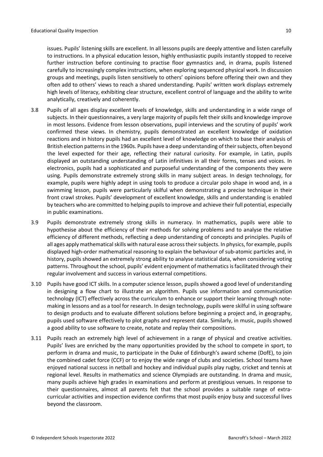issues. Pupils' listening skills are excellent. In all lessons pupils are deeply attentive and listen carefully to instructions. In a physical education lesson, highly enthusiastic pupils instantly stopped to receive further instruction before continuing to practise floor gymnastics and, in drama, pupils listened carefully to increasingly complex instructions, when exploring sequenced physical work. In discussion groups and meetings, pupils listen sensitively to others' opinions before offering their own and they often add to others' views to reach a shared understanding. Pupils' written work displays extremely high levels of literacy, exhibiting clear structure, excellent control of language and the ability to write analytically, creatively and coherently.

- 3.8 Pupils of all ages display excellent levels of knowledge, skills and understanding in a wide range of subjects. In their questionnaires, a very large majority of pupils felt their skills and knowledge improve in most lessons. Evidence from lesson observations, pupil interviews and the scrutiny of pupils' work confirmed these views. In chemistry, pupils demonstrated an excellent knowledge of oxidation reactions and in history pupils had an excellent level of knowledge on which to base their analysis of British election patterns in the 1960s. Pupils have a deep understanding of their subjects, often beyond the level expected for their age, reflecting their natural curiosity. For example, in Latin, pupils displayed an outstanding understanding of Latin infinitives in all their forms, tenses and voices. In electronics, pupils had a sophisticated and purposeful understanding of the components they were using. Pupils demonstrate extremely strong skills in many subject areas. In design technology, for example, pupils were highly adept in using tools to produce a circular polo shape in wood and, in a swimming lesson, pupils were particularly skilful when demonstrating a precise technique in their front crawl strokes. Pupils' development of excellent knowledge, skills and understanding is enabled by teachers who are committed to helping pupils to improve and achieve their full potential, especially in public examinations.
- 3.9 Pupils demonstrate extremely strong skills in numeracy. In mathematics, pupils were able to hypothesise about the efficiency of their methods for solving problems and to analyse the relative efficiency of different methods, reflecting a deep understanding of concepts and principles. Pupils of all ages apply mathematical skills with natural ease across their subjects. In physics, for example, pupils displayed high-order mathematical reasoning to explain the behaviour of sub-atomic particles and, in history, pupils showed an extremely strong ability to analyse statistical data, when considering voting patterns. Throughout the school, pupils' evident enjoyment of mathematicsisfacilitated through their regular involvement and success in various external competitions.
- 3.10 Pupils have good ICT skills. In a computer science lesson, pupils showed a good level of understanding in designing a flow chart to illustrate an algorithm. Pupils use information and communication technology (ICT) effectively across the curriculum to enhance or support their learning through notemaking in lessons and as a tool for research. In design technology, pupils were skilful in using software to design products and to evaluate different solutions before beginning a project and, in geography, pupils used software effectively to plot graphs and represent data. Similarly, in music, pupils showed a good ability to use software to create, notate and replay their compositions.
- 3.11 Pupils reach an extremely high level of achievement in a range of physical and creative activities. Pupils' lives are enriched by the many opportunities provided by the school to compete in sport, to perform in drama and music, to participate in the Duke of Edinburgh's award scheme (DofE), to join the combined cadet force (CCF) or to enjoy the wide range of clubs and societies. School teams have enjoyed national success in netball and hockey and individual pupils play rugby, cricket and tennis at regional level. Results in mathematics and science Olympiads are outstanding. In drama and music, many pupils achieve high grades in examinations and perform at prestigious venues. In response to their questionnaires, almost all parents felt that the school provides a suitable range of extracurricular activities and inspection evidence confirms that most pupils enjoy busy and successful lives beyond the classroom.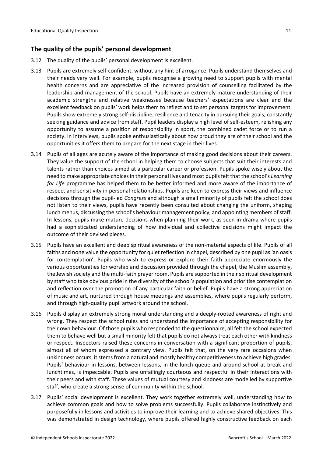### <span id="page-10-0"></span>**The quality of the pupils' personal development**

- 3.12 The quality of the pupils' personal development is excellent.
- 3.13 Pupils are extremely self-confident, without any hint of arrogance. Pupils understand themselves and their needs very well. For example, pupils recognise a growing need to support pupils with mental health concerns and are appreciative of the increased provision of counselling facilitated by the leadership and management of the school. Pupils have an extremely mature understanding of their academic strengths and relative weaknesses because teachers' expectations are clear and the excellent feedback on pupils' work helps them to reflect and to set personal targets for improvement. Pupils show extremely strong self-discipline, resilience and tenacity in pursuing their goals, constantly seeking guidance and advice from staff. Pupil leaders display a high level of self-esteem, relishing any opportunity to assume a position of responsibility in sport, the combined cadet force or to run a society. In interviews, pupils spoke enthusiastically about how proud they are of their school and the opportunities it offers them to prepare for the next stage in their lives.
- 3.14 Pupils of all ages are acutely aware of the importance of making good decisions about their careers. They value the support of the school in helping them to choose subjects that suit their interests and talents rather than choices aimed at a particular career or profession. Pupils spoke wisely about the need to make appropriate choicesin their personal lives and most pupilsfelt that the school's *Learning for Life* programme has helped them to be better informed and more aware of the importance of respect and sensitivity in personal relationships. Pupils are keen to express their views and influence decisions through the pupil-led *Congress* and although a small minority of pupils felt the school does not listen to their views, pupils have recently been consulted about changing the uniform, shaping lunch menus, discussing the school's behaviour management policy, and appointing members ofstaff. In lessons, pupils make mature decisions when planning their work, as seen in drama where pupils had a sophisticated understanding of how individual and collective decisions might impact the outcome of their devised pieces.
- 3.15 Pupils have an excellent and deep spiritual awareness of the non-material aspects of life. Pupils of all faiths and none value the opportunity for quiet reflection in chapel, described by one pupil as'an oasis for contemplation'. Pupils who wish to express or explore their faith appreciate enormously the various opportunities for worship and discussion provided through the chapel, the Muslim assembly, the Jewish society and the multi-faith prayer room. Pupils are supported in their spiritual development by staff who take obvious pride in the diversity of the school's population and prioritise contemplation and reflection over the promotion of any particular faith or belief. Pupils have a strong appreciation of music and art, nurtured through house meetings and assemblies, where pupils regularly perform, and through high-quality pupil artwork around the school.
- 3.16 Pupils display an extremely strong moral understanding and a deeply-rooted awareness of right and wrong. They respect the school rules and understand the importance of accepting responsibility for their own behaviour. Of those pupils who responded to the questionnaire, all felt the school expected them to behave well but a small minority felt that pupils do not always treat each other with kindness or respect. Inspectors raised these concerns in conversation with a significant proportion of pupils, almost all of whom expressed a contrary view. Pupils felt that, on the very rare occasions when unkindness occurs, it stems from a natural and mostly healthy competitiveness to achieve high grades. Pupils' behaviour in lessons, between lessons, in the lunch queue and around school at break and lunchtimes, is impeccable. Pupils are unfailingly courteous and respectful in their interactions with their peers and with staff. These values of mutual courtesy and kindness are modelled by supportive staff, who create a strong sense of community within the school.
- 3.17 Pupils' social development is excellent. They work together extremely well, understanding how to achieve common goals and how to solve problems successfully. Pupils collaborate instinctively and purposefully in lessons and activities to improve their learning and to achieve shared objectives. This was demonstrated in design technology, where pupils offered highly constructive feedback on each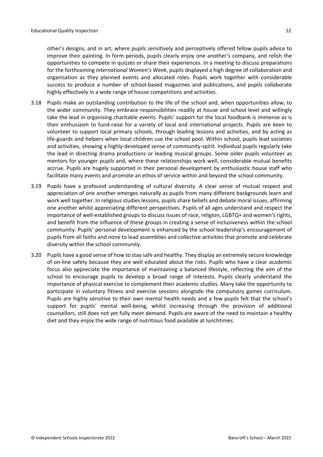other's designs, and in art, where pupils sensitively and perceptively offered fellow pupils advice to improve their painting. In form periods, pupils clearly enjoy one another's company, and relish the opportunities to compete in quizzes or share their experiences. In a meeting to discuss preparations for the forthcoming *International Women's Week*, pupils displayed a high degree of collaboration and organisation as they planned events and allocated roles. Pupils work together with considerable success to produce a number of school-based magazines and publications, and pupils collaborate highly effectively in a wide range of house competitions and activities.

- 3.18 Pupils make an outstanding contribution to the life of the school and, when opportunities allow, to the wider community. They embrace responsibilities readily at house and school level and willingly take the lead in organising charitable events. Pupils' support for the local foodbank is immense as is their enthusiasm to fund-raise for a variety of local and international projects. Pupils are keen to volunteer to support local primary schools, through leading lessons and activities, and by acting as life-guards and helpers when local children use the school pool. Within school, pupils lead societies and activities, showing a highly-developed sense of community-spirit. Individual pupils regularly take the lead in directing drama productions or leading musical groups. Some older pupils volunteer as mentors for younger pupils and, where these relationships work well, considerable mutual benefits accrue. Pupils are hugely supported in their personal development by enthusiastic house staff who facilitate many events and promote an ethos of service within and beyond the school community.
- 3.19 Pupils have a profound understanding of cultural diversity. A clear sense of mutual respect and appreciation of one another emerges naturally as pupils from many different backgrounds learn and work well together. In religious studies lessons, pupils share beliefs and debate moral issues, affirming one another whilst appreciating different perspectives. Pupils of all ages understand and respect the importance of well-established groups to discuss issues of race, religion, LGBTQ+ and women's rights, and benefit from the influence of these groups in creating a sense of inclusiveness within the school community. Pupils' personal development is enhanced by the school leadership's encouragement of pupils from all faiths and none to lead assemblies and collective activities that promote and celebrate diversity within the school community.
- 3.20 Pupils have a good sense of how to stay safe and healthy. They display an extremely secure knowledge of on-line safety because they are well educated about the risks. Pupils who have a clear academic focus also appreciate the importance of maintaining a balanced lifestyle, reflecting the aim of the school to encourage pupils to develop a broad range of interests. Pupils clearly understand the importance of physical exercise to complement their academic studies. Many take the opportunity to participate in voluntary fitness and exercise sessions alongside the compulsory games curriculum. Pupils are highly sensitive to their own mental health needs and a few pupils felt that the school's support for pupils' mental well-being, whilst increasing through the provision of additional counsellors, still does not yet fully meet demand. Pupils are aware of the need to maintain a healthy diet and they enjoy the wide range of nutritious food available at lunchtimes.